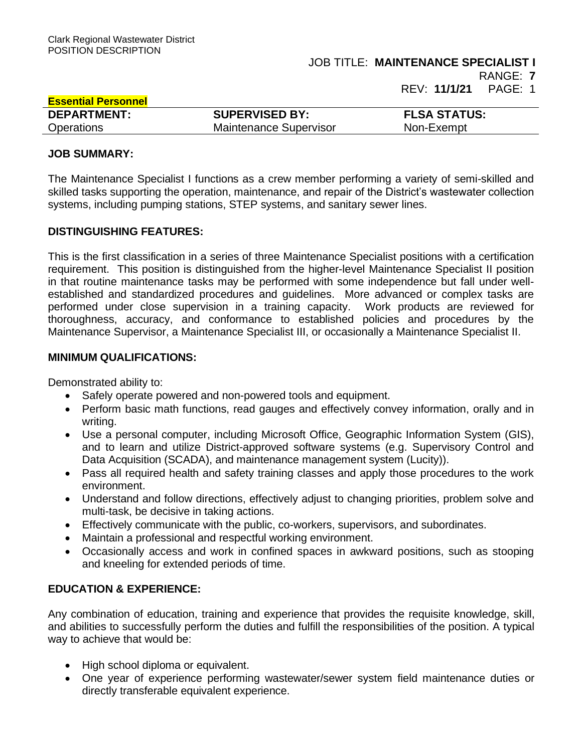RANGE: **7**

REV: **11/1/21** PAGE: 1

| <b>Essential Personnel</b> |                               |                     |
|----------------------------|-------------------------------|---------------------|
| <b>DEPARTMENT:</b>         | <b>SUPERVISED BY:</b>         | <b>FLSA STATUS:</b> |
| <b>Operations</b>          | <b>Maintenance Supervisor</b> | Non-Exempt          |

### **JOB SUMMARY:**

The Maintenance Specialist I functions as a crew member performing a variety of semi-skilled and skilled tasks supporting the operation, maintenance, and repair of the District's wastewater collection systems, including pumping stations, STEP systems, and sanitary sewer lines.

### **DISTINGUISHING FEATURES:**

This is the first classification in a series of three Maintenance Specialist positions with a certification requirement. This position is distinguished from the higher-level Maintenance Specialist II position in that routine maintenance tasks may be performed with some independence but fall under wellestablished and standardized procedures and guidelines. More advanced or complex tasks are performed under close supervision in a training capacity. Work products are reviewed for thoroughness, accuracy, and conformance to established policies and procedures by the Maintenance Supervisor, a Maintenance Specialist III, or occasionally a Maintenance Specialist II.

### **MINIMUM QUALIFICATIONS:**

Demonstrated ability to:

- Safely operate powered and non-powered tools and equipment.
- Perform basic math functions, read gauges and effectively convey information, orally and in writing.
- Use a personal computer, including Microsoft Office, Geographic Information System (GIS), and to learn and utilize District-approved software systems (e.g. Supervisory Control and Data Acquisition (SCADA), and maintenance management system (Lucity)).
- Pass all required health and safety training classes and apply those procedures to the work environment.
- Understand and follow directions, effectively adjust to changing priorities, problem solve and multi-task, be decisive in taking actions.
- Effectively communicate with the public, co-workers, supervisors, and subordinates.
- Maintain a professional and respectful working environment.
- Occasionally access and work in confined spaces in awkward positions, such as stooping and kneeling for extended periods of time.

# **EDUCATION & EXPERIENCE:**

Any combination of education, training and experience that provides the requisite knowledge, skill, and abilities to successfully perform the duties and fulfill the responsibilities of the position. A typical way to achieve that would be:

- High school diploma or equivalent.
- One year of experience performing wastewater/sewer system field maintenance duties or directly transferable equivalent experience.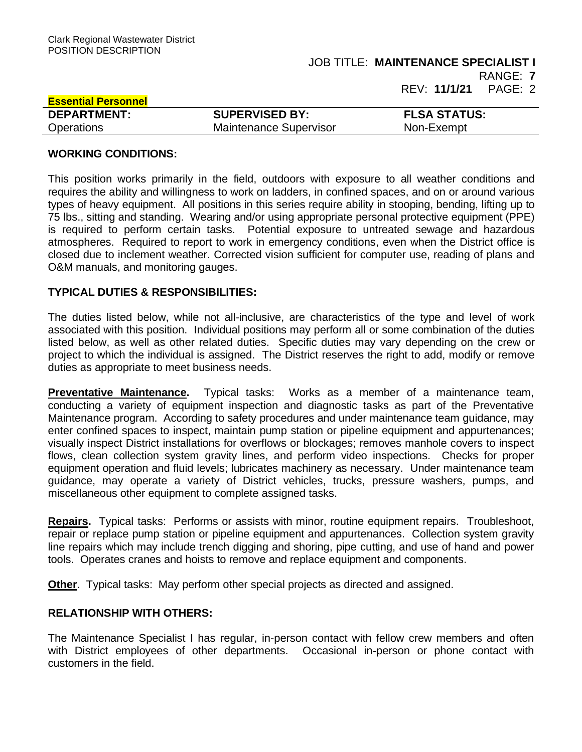RANGE: **7**

REV: **11/1/21** PAGE: 2

| <b>Essential Personnel</b> |                               |                     |  |
|----------------------------|-------------------------------|---------------------|--|
| <b>DEPARTMENT:</b>         | <b>SUPERVISED BY:</b>         | <b>FLSA STATUS:</b> |  |
| <b>Operations</b>          | <b>Maintenance Supervisor</b> | Non-Exempt          |  |

#### **WORKING CONDITIONS:**

This position works primarily in the field, outdoors with exposure to all weather conditions and requires the ability and willingness to work on ladders, in confined spaces, and on or around various types of heavy equipment. All positions in this series require ability in stooping, bending, lifting up to 75 lbs., sitting and standing. Wearing and/or using appropriate personal protective equipment (PPE) is required to perform certain tasks. Potential exposure to untreated sewage and hazardous atmospheres. Required to report to work in emergency conditions, even when the District office is closed due to inclement weather. Corrected vision sufficient for computer use, reading of plans and O&M manuals, and monitoring gauges.

# **TYPICAL DUTIES & RESPONSIBILITIES:**

The duties listed below, while not all-inclusive, are characteristics of the type and level of work associated with this position. Individual positions may perform all or some combination of the duties listed below, as well as other related duties. Specific duties may vary depending on the crew or project to which the individual is assigned. The District reserves the right to add, modify or remove duties as appropriate to meet business needs.

**Preventative Maintenance.** Typical tasks: Works as a member of a maintenance team, conducting a variety of equipment inspection and diagnostic tasks as part of the Preventative Maintenance program. According to safety procedures and under maintenance team guidance, may enter confined spaces to inspect, maintain pump station or pipeline equipment and appurtenances; visually inspect District installations for overflows or blockages; removes manhole covers to inspect flows, clean collection system gravity lines, and perform video inspections. Checks for proper equipment operation and fluid levels; lubricates machinery as necessary. Under maintenance team guidance, may operate a variety of District vehicles, trucks, pressure washers, pumps, and miscellaneous other equipment to complete assigned tasks.

**Repairs.** Typical tasks: Performs or assists with minor, routine equipment repairs. Troubleshoot, repair or replace pump station or pipeline equipment and appurtenances. Collection system gravity line repairs which may include trench digging and shoring, pipe cutting, and use of hand and power tools. Operates cranes and hoists to remove and replace equipment and components.

**Other**. Typical tasks: May perform other special projects as directed and assigned.

# **RELATIONSHIP WITH OTHERS:**

The Maintenance Specialist I has regular, in-person contact with fellow crew members and often with District employees of other departments. Occasional in-person or phone contact with customers in the field.